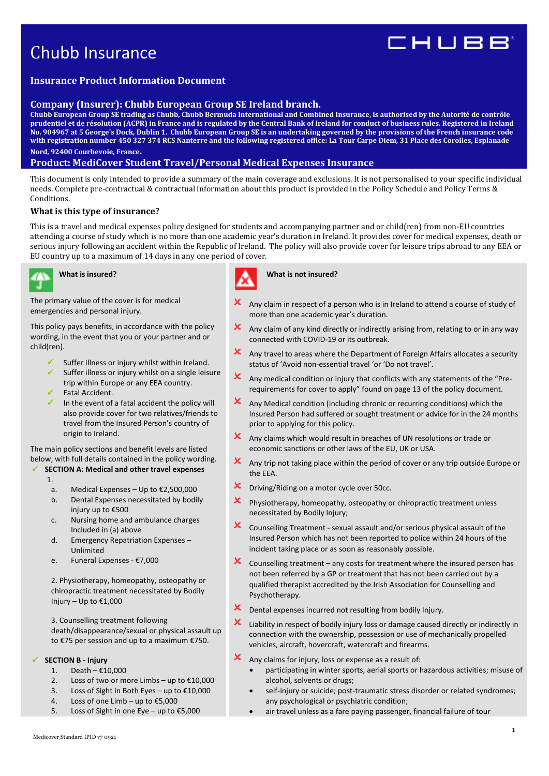# Chubb Insurance

# IHUBB

# **Insurance Product Information Document**

# **Company (Insurer): Chubb European Group SE Ireland branch.**

**Chubb European Group SE trading as Chubb, Chubb Bermuda International and Combined Insurance, is authorised by the Autorité de contrôle prudentiel et de résolution (ACPR) in France and is regulated by the Central Bank of Ireland for conduct of business rules. Registered in Ireland No. 904967 at 5 George's Dock, Dublin 1. Chubb European Group SE is an undertaking governed by the provisions of the French insurance code with registration number 450 327 374 RCS Nanterre and the following registered office: La Tour Carpe Diem, 31 Place des Corolles, Esplanade** 

# **Nord, 92400 Courbevoie, France.**

# **Product: MediCover Student Travel/Personal Medical Expenses Insurance**

This document is only intended to provide a summary of the main coverage and exclusions. It is not personalised to your specific individual needs. Complete pre-contractual & contractual information about this product is provided in the Policy Schedule and Policy Terms & Conditions.

# **What is this type of insurance?**

This is a travel and medical expenses policy designed for students and accompanying partner and or child(ren) from non-EU countries attending a course of study which is no more than one academic year's duration in Ireland. It provides cover for medical expenses, death or serious injury following an accident within the Republic of Ireland. The policy will also provide cover for leisure trips abroad to any EEA or EU country up to a maximum of 14 days in any one period of cover.



# **What is insured?**

The primary value of the cover is for medical emergencies and personal injury.

This policy pays benefits, in accordance with the policy wording, in the event that you or your partner and or child(ren).

- Suffer illness or injury whilst within Ireland.
- Suffer illness or injury whilst on a single leisure trip within Europe or any EEA country.
- Fatal Accident.
- In the event of a fatal accident the policy will also provide cover for two relatives/friends to travel from the Insured Person's country of origin to Ireland.

The main policy sections and benefit levels are listed below, with full details contained in the policy wording.

# **SECTION A: Medical and other travel expenses**

- 1.
- 
- a. Medical Expenses Up to €2,500,000
- b. Dental Expenses necessitated by bodily injury up to €500
- c. Nursing home and ambulance charges Included in (a) above
- d. Emergency Repatriation Expenses Unlimited
- e. Funeral Expenses €7,000

2. Physiotherapy, homeopathy, osteopathy or chiropractic treatment necessitated by Bodily Injury – Up to  $£1,000$ 

3. Counselling treatment following death/disappearance/sexual or physical assault up to €75 per session and up to a maximum €750.

# **SECTION B - Injury**

- 1. Death €10,000
- 2. Loss of two or more Limbs up to  $£10,000$
- 3. Loss of Sight in Both Eyes up to €10,000
- 4. Loss of one Limb up to €5,000
- 5. Loss of Sight in one Eye up to €5,000



## **What is not insured?**

- Any claim in respect of a person who is in Ireland to attend a course of study of more than one academic year's duration.
- $\mathbf x$  Any claim of any kind directly or indirectly arising from, relating to or in any way connected with COVID-19 or its outbreak.
- $x$  Any travel to areas where the Department of Foreign Affairs allocates a security status of 'Avoid non-essential travel 'or 'Do not travel'.
- Any medical condition or injury that conflicts with any statements of the "Prerequirements for cover to apply" found on page 13 of the policy document.
- $x$  Any Medical condition (including chronic or recurring conditions) which the Insured Person had suffered or sought treatment or advice for in the 24 months prior to applying for this policy.
- $\mathbf x$  Any claims which would result in breaches of UN resolutions or trade or economic sanctions or other laws of the EU, UK or USA.
- $\mathbf x$  Any trip not taking place within the period of cover or any trip outside Europe or the EEA.
- **X** Driving/Riding on a motor cycle over 50cc.
- Physiotherapy, homeopathy, osteopathy or chiropractic treatment unless necessitated by Bodily Injury;
- $\mathsf{\times}\;$  Counselling Treatment sexual assault and/or serious physical assault of the Insured Person which has not been reported to police within 24 hours of the incident taking place or as soon as reasonably possible.
- $\mathsf{\times}\;$  Counselling treatment any costs for treatment where the insured person has not been referred by a GP or treatment that has not been carried out by a qualified therapist accredited by the Irish Association for Counselling and Psychotherapy.
- $\boldsymbol{\mathsf{X}}$  Dental expenses incurred not resulting from bodily Injury.
- Liability in respect of bodily injury loss or damage caused directly or indirectly in connection with the ownership, possession or use of mechanically propelled vehicles, aircraft, hovercraft, watercraft and firearms.
- $\mathbf{\times}$  Any claims for injury, loss or expense as a result of:
	- participating in winter sports, aerial sports or hazardous activities; misuse of alcohol, solvents or drugs;
	- self-injury or suicide; post-traumatic stress disorder or related syndromes; any psychological or psychiatric condition;
	- air travel unless as a fare paying passenger, financial failure of tour